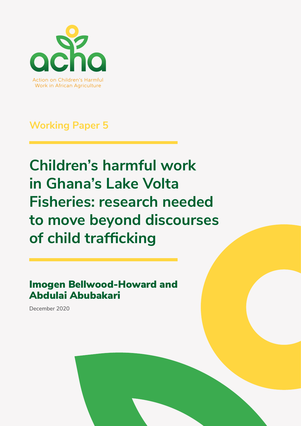

**Working Paper 5**

# **Children's harmful work in Ghana's Lake Volta Fisheries: research needed to move beyond discourses of child trafficking**

1 ACHA Working Paper 5

Imogen Bellwood-Howard and Abdulai Abubakari

December 2020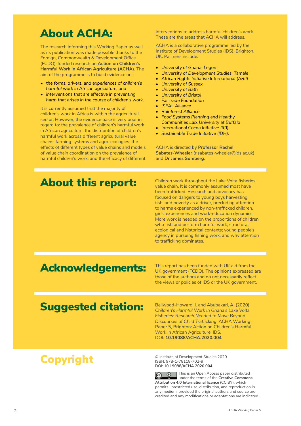# About ACHA:

The research informing this Working Paper as well as its publication was made possible thanks to the Foreign, Commonwealth & Development Office (FCDO)-funded research on **Action on Children's Harmful Work in African Agriculture (ACHA)**. The aim of the programme is to build evidence on:

- *• the forms, drivers, and experiences of children's harmful work in African agriculture; and*
- *• interventions that are effective in preventing harm that arises in the course of children's work.*

It is currently assumed that the majority of children's work in Africa is within the agricultural sector. However, the evidence base is very poor in regard to: the prevalence of children's harmful work in African agriculture; the distribution of children's harmful work across different agricultural value chains, farming systems and agro-ecologies; the effects of different types of value chains and models of value chain coordination on the prevalence of harmful children's work; and the efficacy of different

interventions to address harmful children's work. These are the areas that ACHA will address.

ACHA is a collaborative programme led by the Institute of Development Studies (IDS), Brighton, UK. Partners include:

- *• University of Ghana, Legon*
- *• University of Development Studies, Tamale*
- *• African Rights Initiative International (ARII)*
- *• University of Sussex*
- *• University of Bath*
- *• University of Bristol*
- *• Fairtrade Foundation*
- *• ISEAL Alliance*
- *• Rainforest Alliance*
- *• Food Systems Planning and Healthy Communities Lab, University at Buffalo*
- *• International Cocoa Initiative (ICI)*
- *• Sustainable Trade Initiative (IDH).*

ACHA is directed by **Professor Rachel Sabates‑Wheeler** ([r.sabates-wheeler@ids.ac.uk\)](mailto:r.sabates-wheeler@ids.ac.uk) and **Dr James Sumberg**.

# About this report:

Children work throughout the Lake Volta fisheries value chain. It is commonly assumed most have been trafficked. Research and advocacy has focused on dangers to young boys harvesting fish, and poverty as a driver, precluding attention to harms experienced by non-trafficked children, girls' experiences and work-education dynamics. More work is needed on the proportions of children who fish and perform harmful work; structural, ecological and historical contexts; young people's agency in pursuing fishing work; and why attention to trafficking dominates.

# Acknowledgements: This report has been funded with UK aid from the

UK government (FCDO). The opinions expressed are those of the authors and do not necessarily reflect the views or policies of IDS or the UK government.

# Suggested citation:

Bellwood-Howard, I. and Abubakari, A. (2020) *Children's Harmful Work in Ghana's Lake Volta Fisheries: Research Needed to Move Beyond Discourses of Child Trafficking*, ACHA Working Paper 5, Brighton: Action on Children's Harmful Work in African Agriculture, IDS, DOI: **[10.19088/ACHA.2020.004](https://doi.org/10.19088/ACHA.2020.004)**

# Copyright

© Institute of Development Studies 2020 ISBN: 978-1-78118-702-9 DOI: **[10.19088/ACHA.2020.004](https://doi.org/10.19088/ACHA.2020.004)**

This is an Open Access paper distributed  $\circ$   $\circ$ under the terms of the **[Creative Commons](http://Creative Commons Attribution 4.0 International licence)  [Attribution 4.0 International licence](http://Creative Commons Attribution 4.0 International licence)** (CC BY), which permits unrestricted use, distribution, and reproduction in any medium, provided the original authors and source are credited and any modifications or adaptations are indicated.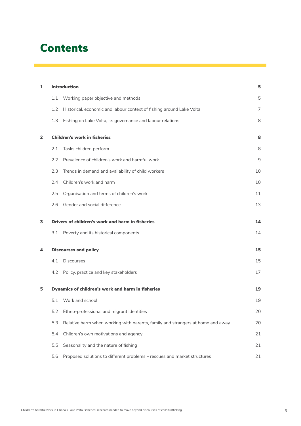# **Contents**

| 1            | <b>Introduction</b> |                                                                                |    |
|--------------|---------------------|--------------------------------------------------------------------------------|----|
|              | 1.1                 | Working paper objective and methods                                            | 5  |
|              | 1.2                 | Historical, economic and labour context of fishing around Lake Volta           | 7  |
|              | 1.3                 | Fishing on Lake Volta, its governance and labour relations                     | 8  |
| $\mathbf{2}$ |                     | <b>Children's work in fisheries</b>                                            | 8  |
|              | 2.1                 | Tasks children perform                                                         | 8  |
|              | 2.2                 | Prevalence of children's work and harmful work                                 | 9  |
|              | 2.3                 | Trends in demand and availability of child workers                             | 10 |
|              | 2.4                 | Children's work and harm                                                       | 10 |
|              | 2.5                 | Organisation and terms of children's work                                      | 11 |
|              | 2.6                 | Gender and social difference                                                   | 13 |
| 3            |                     | Drivers of children's work and harm in fisheries                               | 14 |
|              | 3.1                 | Poverty and its historical components                                          | 14 |
| 4            |                     | <b>Discourses and policy</b>                                                   | 15 |
|              | 4.1                 | <b>Discourses</b>                                                              | 15 |
|              | 4.2                 | Policy, practice and key stakeholders                                          | 17 |
| 5            |                     | Dynamics of children's work and harm in fisheries                              | 19 |
|              | 5.1                 | Work and school                                                                | 19 |
|              | 5.2                 | Ethno-professional and migrant identities                                      | 20 |
|              | 5.3                 | Relative harm when working with parents, family and strangers at home and away | 20 |
|              | 5.4                 | Children's own motivations and agency                                          | 21 |
|              | 5.5                 | Seasonality and the nature of fishing                                          | 21 |
|              | 5.6                 | Proposed solutions to different problems - rescues and market structures       | 21 |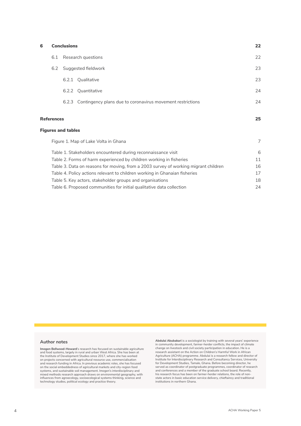#### 6 Conclusions 22

|                   | 6.1                                                                                 | Research questions        |                                                                     |    |
|-------------------|-------------------------------------------------------------------------------------|---------------------------|---------------------------------------------------------------------|----|
|                   | Suggested fieldwork<br>6.2                                                          |                           | 23                                                                  |    |
|                   |                                                                                     |                           | 6.2.1 Qualitative                                                   | 23 |
|                   |                                                                                     |                           | 6.2.2 Quantitative                                                  | 24 |
|                   |                                                                                     |                           | 6.2.3 Contingency plans due to coronavirus movement restrictions    | 24 |
| <b>References</b> |                                                                                     |                           |                                                                     | 25 |
|                   |                                                                                     | <b>Figures and tables</b> |                                                                     |    |
|                   |                                                                                     |                           | Figure 1. Map of Lake Volta in Ghana                                | 7  |
|                   |                                                                                     |                           | Table 1. Stakeholders encountered during reconnaissance visit       | 6  |
|                   |                                                                                     |                           | Table 2. Forms of harm experienced by children working in fisheries | 11 |
|                   | Table 3. Data on reasons for moving, from a 2003 survey of working migrant children |                           |                                                                     | 16 |
|                   | Table 4. Policy actions relevant to children working in Ghanaian fisheries          |                           |                                                                     | 17 |
|                   |                                                                                     |                           | Table 5. Key actors, stakeholder groups and organisations           | 18 |
|                   | Table 6. Proposed communities for initial qualitative data collection               |                           |                                                                     | 24 |

#### **Author notes**

**Imogen Bellwood-Howard**'s research has focused on sustainable agriculture and food systems, largely in rural and urban West Africa. She has been at the Institute of Development Studies since 2017, where she has worked<br>on projects concerned with agricultural resource use, commercialisation<br>and research funding in Africa. In previous academic roles, she has focused on the social embeddedness of agricultural markets and city-region food systems, and sustainable soil management. Imogen's interdisciplinary and mixed methods research approach draws on environmental geography, with<br>influences from agroecology, socioecological systems thinking, science and<br>technology studies, political ecology and practice theory.

**Abdulai Abubakari** is a sociologist by training with several years' experience in community development, farmer-herder conflicts, the impact of climate change on livestock and civil society participation in education. He is a research assistant on the Action on Children's Harmful Work in African<br>Agriculture (ACHA) programme. Abdulai is a research fellow and director of<br>Institute for Interdisciplinary Research and Consultancy Services, Universit for Development Studies, Tamale, Ghana. Before becoming director, he served as coordinator of postgraduate programmes, coordinator of research<br>and conferences and a member of the graduate school board. Recently,<br>his research focus has been on farmer-herder relations, the role of nonstate actors in basic education service delivery, chieftaincy and traditional institutions in northern Ghana.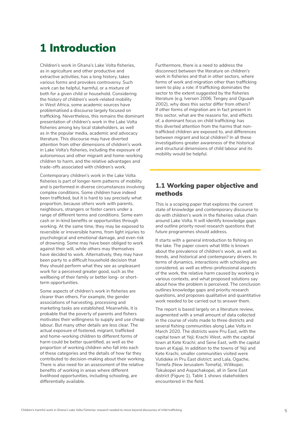# **1** Introduction

Children's work in Ghana's Lake Volta fisheries, as in agriculture and other productive and extractive activities, has a long history, takes various forms and provokes controversy. Such work can be helpful, harmful, or a mixture of both for a given child or household. Considering the history of children's work-related mobility in West Africa, some academic sources have problematised a discourse largely focused on trafficking. Nevertheless, this remains the dominant presentation of children's work in the Lake Volta fisheries among key local stakeholders, as well as in the popular media, academic and advocacy literature. This discourse may have diverted attention from other dimensions of children's work in Lake Volta's fisheries, including the exposure of autonomous and other migrant and home-working children to harm, and the relative advantages and trade-offs associated with children's work.

Contemporary children's work in the Lake Volta fisheries is part of longer-term patterns of mobility and is performed in diverse circumstances involving complex conditions. Some children have indeed been trafficked, but it is hard to say precisely what proportion, because others work with parents, neighbours, strangers or foster carers under a range of different terms and conditions. Some earn cash or in-kind benefits or opportunities through working. At the same time, they may be exposed to reversible or irreversible harms, from light injuries to psychological and emotional damage, and even risk of drowning. Some may have been obliged to work against their will, while others may themselves have decided to work. Alternatively, they may have been party to a difficult household decision that they should perform what they see as unpleasant work for a perceived greater good, such as the wellbeing of their family or better long- or shortterm opportunities.

Some aspects of children's work in fisheries are clearer than others. For example, the gender associations of harvesting, processing and marketing tasks are established. Meanwhile, it is probable that the poverty of parents and fishers motivates their willingness to supply and use cheap labour. But many other details are less clear. The actual exposure of fostered, migrant, trafficked and home-working children to different forms of harm could be better quantified, as well as the proportion of working children who fall into each of these categories and the details of how far they contributed to decision-making about their working. There is also need for an assessment of the relative benefits of working in areas where different livelihood opportunities, including schooling, are differentially available.

Furthermore, there is a need to address the disconnect between the literature on children's work in fisheries and that in other sectors, where forms of work and migration other than trafficking seem to play a role: if trafficking dominates the sector to the extent suggested by the fisheries literature (e.g. Iversen 2006; Tengey and Oguaah 2002), why does this sector differ from others? If other forms of migration are in fact present in this sector, what are the reasons for, and effects of, a dominant focus on child trafficking: has this diverted attention from the harms that nontrafficked children are exposed to, and differences between migrant and local children? In all these investigations greater awareness of the historical and structural dimensions of child labour and its mobility would be helpful.

### **1.1** Working paper objective and methods

This is a scoping paper that explores the current state of knowledge and contemporary discourse to do with children's work in the fisheries value chain around Lake Volta. It will identify knowledge gaps and outline priority novel research questions that future programmes should address.

It starts with a general introduction to fishing on the lake. The paper covers what little is known about the prevalence of children's work, as well as trends, and historical and contemporary drivers. In terms of dynamics, interactions with schooling are considered, as well as ethno-professional aspects of the work, the relative harm caused by working in various contexts, and what proposed solutions say about how the problem is perceived. The conclusion outlines knowledge gaps and priority research questions, and proposes qualitative and quantitative work needed to be carried out to answer them.

The report is based largely on a literature review, augmented with a small amount of data collected in the course of visits made to three districts and several fishing communities along Lake Volta in March 2020. The districts were Pru East, with the capital town at Yeji; Krachi West, with the capital town at Kete Krachi; and Sene East, with the capital town at Kajaji. In addition to the towns of Yeji and Kete Krachi, smaller communities visited were Vutideke in Pru East district; and Lala, Ogache, Tomefa (New Jerusalem Tomefa), Wilikopei, Tokukopei and Aspachakopei, all in Sene East district (Figure 1). Table 1 shows stakeholders encountered in the field.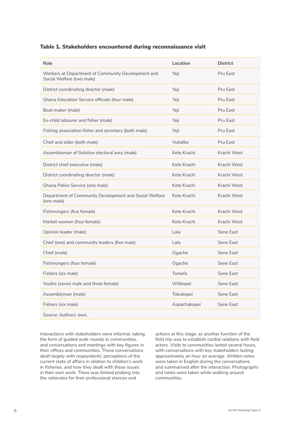#### Table 1. Stakeholders encountered during reconnaissance visit

| Role                                                                            | Location     | <b>District</b>  |
|---------------------------------------------------------------------------------|--------------|------------------|
| Workers at Department of Community Development and<br>Social Welfare (two male) | Yeji         | Pru East         |
| District coordinating director (male)                                           | Yeji         | Pru East         |
| Ghana Education Service officials (four male)                                   | Yeji         | Pru East         |
| Boat maker (male)                                                               | Yeji         | Pru East         |
| Ex-child labourer and fisher (male)                                             | Yeji         | Pru East         |
| Fishing association fisher and secretary (both male)                            | Yeji         | Pru East         |
| Chief and elder (both male)                                                     | Vutidike     | Pru East         |
| Assemblyman of Sofoline electoral area (male)                                   | Kete Krachi  | Krachi West      |
| District chief executive (male)                                                 | Kete Krachi  | Krachi West      |
| District coordinating director (male)                                           | Kete Krachi  | Krachi West      |
| Ghana Police Service (one male)                                                 | Kete Krachi  | Krachi West      |
| Department of Community Development and Social Welfare<br>(one male)            | Kete Krachi  | Krachi West      |
| Fishmongers (five female)                                                       | Kete Krachi  | Krachi West      |
| Market women (four female)                                                      | Kete Krachi  | Krachi West      |
| Opinion leader (male)                                                           | Lala         | Sene East        |
| Chief (one) and community leaders (five male)                                   | Lala         | Sene East        |
| Chief (male)                                                                    | Ogache       | Sene East        |
| Fishmongers (four female)                                                       | Ogache       | Sene East        |
| Fishers (six male)                                                              | Tomefa       | Sene East        |
| Youths (seven male and three female)                                            | Wilikopei    | Sene East        |
| Assemblyman (male)                                                              | Tokukopei    | Sene East        |
| Fishers (six male)                                                              | Aspachakopei | <b>Sene East</b> |
| Source: Authors' own.                                                           |              |                  |

Interactions with stakeholders were informal, taking the form of guided walk-rounds in communities, and conversations and meetings with key figures in their offices and communities. These conversations dealt largely with respondents' perceptions of the current state of affairs in relation to children's work in fisheries, and how they dealt with these issues in their own work. There was limited probing into the rationales for their professional stances and

actions at this stage, as another function of the field trip was to establish cordial relations with field actors. Visits to communities lasted several hours, with conversations with key stakeholders lasting approximately an hour on average. Written notes were taken in English during the conversations and summarised after the interaction. Photographs and notes were taken while walking around communities.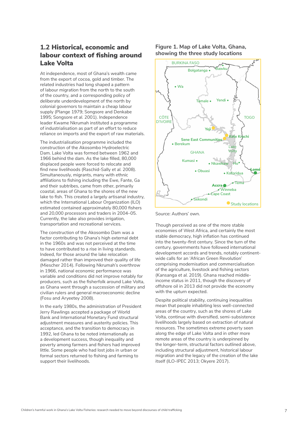### **1.2** Historical, economic and labour context of fishing around Lake Volta

At independence, most of Ghana's wealth came from the export of cocoa, gold and timber. The related industries had long shaped a pattern of labour migration from the north to the south of the country, and a corresponding policy of deliberate underdevelopment of the north by colonial governors to maintain a cheap labour supply (Plange 1979; Songsore and Denkabe 1995; Songsore *et al.* 2001). Independence leader Kwame Nkrumah instituted a programme of industrialisation as part of an effort to reduce reliance on imports and the export of raw materials.

The industrialisation programme included the construction of the Akosombo Hydroelectric Dam. Lake Volta was formed between 1962 and 1966 behind the dam. As the lake filled, 80,000 displaced people were forced to relocate and find new livelihoods (Raschid-Sally *et al.* 2008). Simultaneously, migrants, many with ethnic affiliations to fishing including the Ewe, Fante, Ga and their subtribes, came from other, primarily coastal, areas of Ghana to the shores of the new lake to fish. This created a largely artisanal industry, which the International Labour Organization (ILO) estimated contained approximately 80,000 fishers and 20,000 processors and traders in 2004–05. Currently, the lake also provides irrigation, transportation and recreational services.

The construction of the Akosombo Dam was a factor contributing to Ghana's high external debt in the 1960s and was not perceived at the time to have contributed to a rise in living standards. Indeed, for those around the lake relocation damaged rather than improved their quality of life (Miescher 2014). Following Nkrumah's overthrow in 1966, national economic performance was variable and conditions did not improve notably for producers, such as the fisherfolk around Lake Volta, as Ghana went through a succession of military and civilian rulers and general macroeconomic decline (Fosu and Aryeetey 2008).

In the early 1980s, the administration of President Jerry Rawlings accepted a package of World Bank and International Monetary Fund structural adjustment measures and austerity policies. This acceptance, and the transition to democracy in 1992, led Ghana to be noted internationally as a development success, though inequality and poverty among farmers and fishers had improved little. Some people who had lost jobs in urban or formal sectors returned to fishing and farming to support their livelihoods.

#### **Figure 1. Map of Lake Volta, Ghana, showing the three study locations**



Source: Authors' own.

Though perceived as one of the more stable economies of West Africa, and certainly the most stable democracy, high inflation has continued into the twenty-first century. Since the turn of the century, governments have followed international development accords and trends, notably continentwide calls for an 'African Green Revolution' comprising modernisation and commercialisation of the agriculture, livestock and fishing sectors (Kansanga *et al.* 2019). Ghana reached middleincome status in 2011, though the discovery of offshore oil in 2013 did not provide the economy with the upturn expected.

Despite political stability, continuing inequalities mean that people inhabiting less well-connected areas of the country, such as the shores of Lake Volta, continue with diversified, semi-subsistence livelihoods largely based on extraction of natural resources. The sometimes extreme poverty seen along the edge of Lake Volta and in other more remote areas of the country is underpinned by the longer-term, structural factors outlined above, including structural adjustment, historical labour migration and the legacy of the creation of the lake itself (ILO-IPEC 2013; Okyere 2017).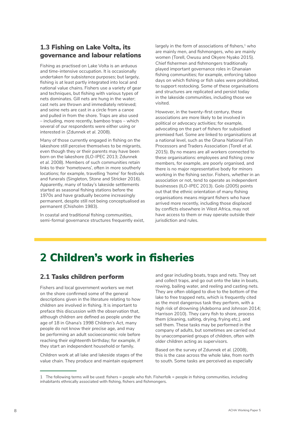### **1.3** Fishing on Lake Volta, its governance and labour relations

Fishing as practised on Lake Volta is an arduous and time-intensive occupation. It is occasionally undertaken for subsistence purposes; but largely, fishing is at least partly integrated into local and national value chains. Fishers use a variety of gear and techniques, but fishing with various types of nets dominates. Gill nets are hung in the water; cast nets are thrown and immediately retrieved; and seine nets are cast in a circle from a canoe and pulled in from the shore. Traps are also used – including, more recently, bamboo traps – which several of our respondents were either using or interested in (Zdunnek *et al.* 2008).

Many of those currently engaged in fishing on the lakeshore still perceive themselves to be migrants, even though they or their parents may have been born on the lakeshore (ILO-IPEC 2013; Zdunnek *et al.* 2008). Members of such communities retain links to their 'hometowns', often in more southerly locations; for example, travelling 'home' for festivals and funerals (Singleton, Stone and Stricker 2016). Apparently, many of today's lakeside settlements started as seasonal fishing stations before the 1970s and have gradually become increasingly permanent, despite still not being conceptualised as permanent (Chisholm 1983).

In coastal and traditional fishing communities, semi-formal governance structures frequently exist, largely in the form of associations of fishers, $1$  who are mainly men, and fishmongers, who are mainly women (Torell, Owusu and Okyere Nyako 2015). Chief fishermen and fishmongers traditionally played important governance roles in Ghanaian fishing communities; for example, enforcing taboo days on which fishing or fish sales were prohibited, to support restocking. Some of these organisations and structures are replicated and persist today in the lakeside communities, including those we visited.

However, in the twenty-first century, these associations are more likely to be involved in political or advocacy activities; for example, advocating on the part of fishers for subsidised premixed fuel. Some are linked to organisations at a national level, such as the Ghana National Fish Processors and Traders Association (Torell *et al.* 2015). By no means are all workers connected to these organisations: employees and fishing crew members, for example, are poorly organised, and there is no major representative body for minors working in the fishing sector. Fishers, whether in an association or not, tend to operate as independent businesses (ILO-IPEC 2013). Golo (2005) points out that the ethnic orientation of many fishing organisations means migrant fishers who have arrived more recently, including those displaced by conflicts elsewhere in West Africa, may not have access to them or may operate outside their jurisdiction and rules.

# **2** Children's work in fisheries

### **2.1** Tasks children perform

Fishers and local government workers we met on the shore confirmed some of the general descriptions given in the literature relating to how children are involved in fishing. It is important to preface this discussion with the observation that, although children are defined as people under the age of 18 in Ghana's 1998 Children's Act, many people do not know their precise age, and may be performing an adult socioeconomic role before reaching their eighteenth birthday; for example, if they start an independent household or family.

Children work at all lake and lakeside stages of the value chain. They produce and maintain equipment

and gear including boats, traps and nets. They set and collect traps, and go out onto the lake in boats, rowing, bailing water, and reeling and casting nets. They are often obliged to dive to the bottom of the lake to free trapped nets, which is frequently cited as the most dangerous task they perform, with a high risk of drowning (Adeborna and Johnson 2014; Harrison 2010). They carry fish to shore, process them (cleaning, salting, drying, frying etc.), and sell them. These tasks may be performed in the company of adults, but sometimes are carried out by unaccompanied groups of children, often with older children acting as supervisors.

Based on the survey of Zdunnek *et al.* (2008), this is the case across the whole lake, from north to south. Some tasks are perceived as especially

<sup>1</sup> The following terms will be used: fishers = people who fish. Fisherfolk = people in fishing communities, including inhabitants ethnically associated with fishing, fishers and fishmongers.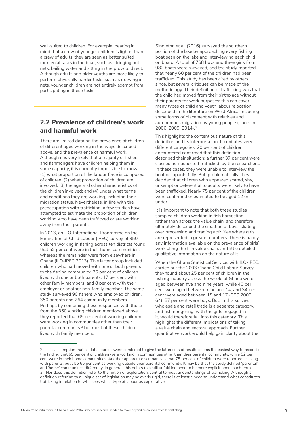well-suited to children. For example, bearing in mind that a crew of younger children is lighter than a crew of adults, they are seen as better suited for menial tasks in the boat, such as stringing out nets, bailing water and sitting in the prow to direct. Although adults and older youths are more likely to perform physically harder tasks such as drawing in nets, younger children are not entirely exempt from participating in these tasks.

#### **2.2** Prevalence of children's work and harmful work

There are limited data on the prevalence of children of different ages working in the ways described above, and the prevalence of harmful work. Although it is very likely that a majority of fishers and fishmongers have children helping them in some capacity, it is currently impossible to know: (1) what proportion of the labour force is composed of children; (2) what proportion of children are involved; (3) the age and other characteristics of the children involved; and (4) under what terms and conditions they are working, including their migration status. Nevertheless, in line with the preoccupation with trafficking, a few studies have attempted to estimate the proportion of children working who have been trafficked or are working away from their parents.

In 2013, an ILO-International Programme on the Elimination of Child Labour (IPEC) survey of 350 children working in fishing across ten districts found that 52 per cent were in their home communities, whereas the remainder were from elsewhere in Ghana (ILO-IPEC 2013). This latter group included children who had moved with one or both parents to the fishing community; 75 per cent of children lived with one or both parents, 17 per cent with other family members, and 8 per cent with their employer or another non-family member. The same study surveyed 90 fishers who employed children, 350 parents and 264 community members. Perhaps by combining these responses with those from the 350 working children mentioned above, they reported that 65 per cent of working children were working in communities other than their parental community,<sup>2</sup> but most of these children lived with family members.

Singleton *et al.* (2016) surveyed the southern portion of the lake by approaching every fishing boat seen on the lake and interviewing each child on board. A total of 768 boys and three girls from 982 boats were surveyed, and the study reported that nearly 60 per cent of the children had been trafficked. This study has been cited by others since, but several critiques can be made of the methodology. Their definition of trafficking was that the child had moved from their birthplace without their parents for work purposes: this can cover many types of child and youth labour relocation described in the literature on West Africa, including some forms of placement with relatives and autonomous migration by young people (Thorsen 2006, 2009, 2014).3

This highlights the contentious nature of this definition and its interpretation. It conflates very different categories: 20 per cent of children encountered confirmed that this definition described their situation; a further 37 per cent were classed as 'suspected trafficked' by the researchers. In these cases, they were unable to interview the boat occupants fully. But, problematically, they decided that children who appeared scared, shy, unkempt or deferential to adults were likely to have been trafficked. Nearly 75 per cent of the children were confirmed or estimated to be aged 12 or under.

It is important to note that both these studies sampled children working in fish harvesting rather than across the value chain, and therefore ultimately described the situation of boys, skating over processing and trading activities where girls are represented in greater numbers. There is hardly any information available on the prevalence of girls' work along the fish value chain, and little detailed qualitative information on the nature of it.

When the Ghana Statistical Service, with ILO-IPEC, carried out the 2003 Ghana Child Labour Survey, they found about 25 per cent of children in the fishing industry across the whole of Ghana were aged between five and nine years, while 40 per cent were aged between nine and 14, and 34 per cent were aged between 15 and 17 (GSS 2003: 64); 87 per cent were boys. But, in this survey, wholesale and retail trade is a separate category, and fishmongering, with the girls engaged in it, would therefore fall into this category. This highlights the different implications of taking a value chain and sectoral approach. Further quantitative work would help gain clarity about the

<sup>2</sup> This assumption that all data sources were combined to give the latter sets of results seems the easiest way to reconcile the finding that 65 per cent of children were working in communities other than their parental community, while 52 per cent were in their home communities. Another apparent discrepancy is that 75 per cent of children were reported as living with parents, but also 65 per cent as working outside their parental community. It may be that the study defined 'parental' and 'home' communities differently. In general, this points to a still unfulfilled need to be more explicit about such terms. 3 Nor does this definition refer to the notion of exploitation, central to most understandings of trafficking. Although a definition referring to a unique set of legislation may be overly rigid, there is at least a need to understand what constitutes trafficking in relation to who sees which type of labour as exploitative.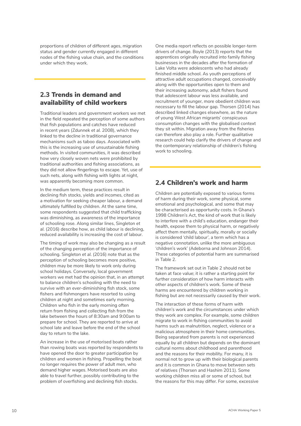proportions of children of different ages, migration status and gender currently engaged in different nodes of the fishing value chain, and the conditions under which they work.

### **2.3** Trends in demand and availability of child workers

Traditional leaders and government workers we met in the field repeated the perception of some authors that fish populations and catches have reduced in recent years (Zdunnek *et al.* 2008), which they linked to the decline in traditional governance mechanisms such as taboo days. Associated with this is the increasing use of unsustainable fishing methods. In visited communities, it was described how very closely woven nets were prohibited by traditional authorities and fishing associations, as they did not allow fingerlings to escape. Yet, use of such nets, along with fishing with lights at night, was apparently becoming more common.

In the medium term, these practices result in declining fish stocks, yields and incomes, cited as a motivation for seeking cheaper labour, a demand ultimately fulfilled by children. At the same time, some respondents suggested that child trafficking was diminishing, as awareness of the importance of schooling rose. Along similar lines, Singleton *et al*. (2016) describe how, as child labour is declining, reduced availability is increasing the cost of labour.

The timing of work may also be changing as a result of the changing perception of the importance of schooling. Singleton *et al.* (2016) note that as the perception of schooling becomes more positive, children may be more likely to work only during school holidays. Conversely, local government workers we met had the opinion that, in an attempt to balance children's schooling with the need to survive with an ever-diminishing fish stock, some fishers and fishmongers have resorted to using children at night and sometimes early morning. Children who fish in the early morning often return from fishing and collecting fish from the lake between the hours of 8:30am and 9:00am to prepare for school. They are reported to arrive at school late and leave before the end of the school day to return to the lake.

An increase in the use of motorised boats rather than rowing boats was reported by respondents to have opened the door to greater participation by children and women in fishing. Propelling the boat no longer requires the power of adult men, who demand higher wages. Motorised boats are also able to travel further, possibly contributing to the problem of overfishing and declining fish stocks.

One media report reflects on possible longer-term drivers of change. Boyle (2013) reports that the apprentices originally recruited into family fishing businesses in the decades after the formation of Lake Volta were adolescents who had already finished middle school. As youth perceptions of attractive adult occupations changed, conceivably along with the opportunities open to them and their increasing autonomy, adult fishers found that adolescent labour was less available, and recruitment of younger, more obedient children was necessary to fill the labour gap. Thorsen (2014) has described linked changes elsewhere, as the nature of young West African migrants' conspicuous consumption changes with the globalised context they sit within. Migration away from the fisheries can therefore also play a role. Further qualitative research could help clarify the drivers of change and the contemporary relationship of children's fishing work to schooling.

### **2.4** Children's work and harm

Children are potentially exposed to various forms of harm during their work, some physical, some emotional and psychological, and some that may be characterised as opportunity costs. In Ghana's 1998 Children's Act, the kind of work that is likely to interfere with a child's education, endanger their health, expose them to physical harm, or negatively affect them mentally, spiritually, morally or socially is considered 'child labour', a term which has a negative connotation, unlike the more ambiguous 'children's work' (Adeborna and Johnson 2014). These categories of potential harm are summarised in Table 2.

The framework set out in Table 2 should not be taken at face value; it is rather a starting point for further consideration of how harm interacts with other aspects of children's work. Some of these harms are encountered by children working in fishing but are not necessarily caused by their work.

The interaction of these forms of harm with children's work and the circumstances under which they work are complex. For example, some children migrate to work in fishing communities to avoid harms such as malnutrition, neglect, violence or a malicious atmosphere in their home communities. Being separated from parents is not experienced equally by all children but depends on the dominant cultural norms about childhood and parenthood and the reasons for their mobility. For many, it is normal not to grow up with their biological parents and it is common in Ghana to move between sets of relatives (Thorsen and Hashim 2011). Some working children miss all or some of school, but the reasons for this may differ. For some, excessive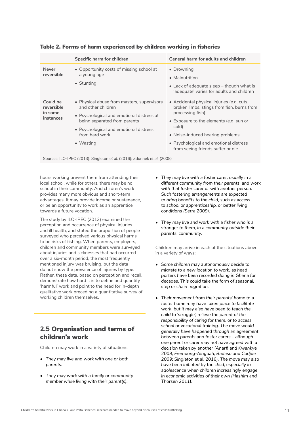|                                                | Specific harm for children                                                                                                                                                                                             | General harm for adults and children                                                                                                                                                                                                                                                |
|------------------------------------------------|------------------------------------------------------------------------------------------------------------------------------------------------------------------------------------------------------------------------|-------------------------------------------------------------------------------------------------------------------------------------------------------------------------------------------------------------------------------------------------------------------------------------|
| <b>Never</b><br>reversible                     | • Opportunity costs of missing school at<br>a young age<br>$\bullet$ Stunting                                                                                                                                          | • Drowning<br>• Malnutrition<br>• Lack of adequate sleep $-$ though what is<br>'adequate' varies for adults and children                                                                                                                                                            |
| Could be<br>reversible<br>in some<br>instances | • Physical abuse from masters, supervisors<br>and other children<br>• Psychological and emotional distress at<br>being separated from parents<br>• Psychological and emotional distress<br>from hard work<br>• Wasting | • Accidental physical injuries (e.g. cuts,<br>broken limbs, stings from fish, burns from<br>processing fish)<br>• Exposure to the elements (e.g. sun or<br>cold)<br>• Noise-induced hearing problems<br>• Psychological and emotional distress<br>from seeing friends suffer or die |

#### Table 2. Forms of harm experienced by children working in fisheries

hours working prevent them from attending their local school, while for others, there may be no school in their community. And children's work provides many more obvious and short-term advantages. It may provide income or sustenance, or be an opportunity to work as an apprentice towards a future vocation.

The study by ILO-IPEC (2013) examined the perception and occurrence of physical injuries and ill health, and stated the proportion of people surveyed who perceived various physical harms to be risks of fishing. When parents, employers, children and community members were surveyed about injuries and sicknesses that had occurred over a six-month period, the most frequently mentioned injury was bruising, but the data do not show the prevalence of injuries by type. Rather, these data, based on perception and recall, demonstrate how hard it is to define and quantify 'harmful' work and point to the need for in-depth qualitative work preceding a quantitative survey of working children themselves.

### **2.5** Organisation and terms of children's work

Children may work in a variety of situations:

- *• They may live and work with one or both parents.*
- *• They may work with a family or community member while living with their parent(s).*
- *• They may live with a foster carer, usually in a different community from their parents, and work with that foster carer or with another person. Such fostering arrangements are expected to bring benefits to the child, such as access to school or apprenticeship, or better living conditions (Serra 2009).*
- *• They may live and work with a fisher who is a stranger to them, in a community outside their parents' community.*

Children may arrive in each of the situations above in a variety of ways:

- *• Some children may autonomously decide to migrate to a new location to work, as head porters have been recorded doing in Ghana for decades. This could take the form of seasonal, step or chain migration.*
- *• Their movement from their parents' home to a foster home may have taken place to facilitate work, but it may also have been to teach the child to 'struggle', relieve the parent of the responsibility of caring for them, or to access school or vocational training. The move would generally have happened through an agreement between parents and foster carers – although one parent or carer may not have agreed with a decision taken by another (Anarfi and Kwankye 2009; Frempong-Ainguah, Badasu and Codjoe 2009; Singleton* et al. *2016). The move may also have been initiated by the child, especially in adolescence when children increasingly engage in economic activities of their own (Hashim and Thorsen 2011).*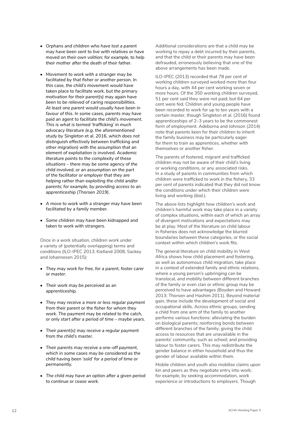- *• Orphans and children who have lost a parent may have been sent to live with relatives or have moved on their own volition; for example, to help their mother after the death of their father.*
- *• Movement to work with a stranger may be facilitated by that fisher or another person. In this case, the child's movement would have taken place to facilitate work, but the primary motivation for their parent(s) may again have been to be relieved of caring responsibilities. At least one parent would usually have been in favour of this. In some cases, parents may have paid an agent to facilitate the child's movement. This is what is termed 'trafficking' in much advocacy literature (e.g. the aforementioned study by Singleton* et al*. 2016, which does not distinguish effectively between trafficking and other migration) with the assumption that an element of exploitation is involved. Academic literature points to the complexity of these situations – there may be some agency of the child involved, or an assumption on the part of the facilitator or employer that they are helping rather than exploiting the child and/or parents; for example, by providing access to an apprenticeship (Thorsen 2019).*
- *• A move to work with a stranger may have been facilitated by a family member.*
- *• Some children may have been kidnapped and taken to work with strangers.*

Once in a work situation, children work under a variety of (potentially overlapping) terms and conditions (ILO-IPEC 2013; Kielland 2008; Sackey and Johannesen 2015):

- *• They may work for free, for a parent, foster carer or master.*
- *• Their work may be perceived as an apprenticeship.*
- *• They may receive a more or less regular payment from their parent or the fisher for whom they work. The payment may be related to the catch, or only start after a period of time – maybe years.*
- *• Their parent(s) may receive a regular payment from the child's master.*
- *• Their parents may receive a one-off payment, which in some cases may be considered as the child having been 'sold' for a period of time or permanently.*
- *• The child may have an option after a given period to continue or cease work.*

Additional considerations are that a child may be working to repay a debt incurred by their parents, and that the child or their parents may have been defrauded, erroneously believing that one of the above arrangements has been made.

ILO-IPEC (2013) recorded that 78 per cent of working children surveyed worked more than four hours a day, with 44 per cent working seven or more hours. Of the 350 working children surveyed, 51 per cent said they were not paid, but 64 per cent were fed. Children and young people have been recorded to work for up to ten years with a certain master, though Singleton *et al.* (2016) found apprenticeships of 2–3 years to be the commonest form of employment. Adeborna and Johnson (2014) note that parents keen for their children to inherit the family business may be particularly eager for them to train as apprentices, whether with themselves or another fisher.

The parents of fostered, migrant and trafficked children may not be aware of their child's living or working conditions, or any associated risks. In a study of parents in communities from which children were trafficked to work in the fishery, 33 per cent of parents indicated that they did not know the conditions under which their children were living and working (*ibid*.).

The above lists highlight how children's work and children's harmful work may take place in a variety of complex situations, within each of which an array of divergent motivations and expectations may be at play. Most of the literature on child labour in fisheries does not acknowledge the blurred boundaries between these categories, or the social context within which children's work fits.

The general literature on child mobility in West Africa shows how child placement and fostering, as well as autonomous child migration, take place in a context of extended family and ethnic relations, where a young person's upbringing can be translocal, and mobility between different branches of the family or even clan or ethnic group may be perceived to have advantages (Boyden and Howard 2013; Thorsen and Hashim 2011). Beyond material gain, these include the development of social and occupational skills. Across ethnic groups, sending a child from one arm of the family to another performs various functions: alleviating the burden on biological parents; reinforcing bonds between different branches of the family; giving the child access to resources that are unavailable in the parents' community, such as school; and providing labour to foster carers. This may redistribute the gender balance in either household and thus the gender of labour available within them.

Mobile children and youth also mobilise claims upon kin and peers as they negotiate entry into work; for example, by seeking accommodation, work experience or introductions to employers. Though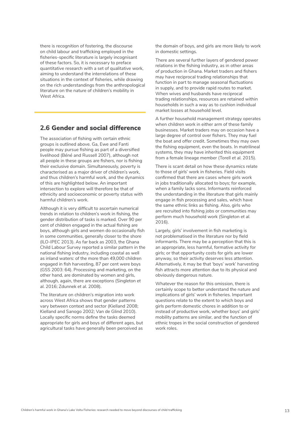there is recognition of fostering, the discourse on child labour and trafficking employed in the fisheries-specific literature is largely incognisant of these factors. So, it is necessary to preface quantitative research with a set of qualitative work, aiming to understand the interrelations of these situations in the context of fisheries, while drawing on the rich understandings from the anthropological literature on the nature of children's mobility in West Africa.

#### **2.6** Gender and social difference

The association of fishing with certain ethnic groups is outlined above. Ga, Ewe and Fanti people may pursue fishing as part of a diversified livelihood (Béné and Russell 2007), although not all people in these groups are fishers, nor is fishing their exclusive domain. Simultaneously, poverty is characterised as a major driver of children's work, and thus children's harmful work, and the dynamics of this are highlighted below. An important intersection to explore will therefore be that of ethnicity and socioeconomic or poverty status with harmful children's work.

Although it is very difficult to ascertain numerical trends in relation to children's work in fishing, the gender distribution of tasks is marked. Over 90 per cent of children engaged in the actual fishing are boys, although girls and women do occasionally fish in some communities, generally closer to the shore (ILO-IPEC 2013). As far back as 2003, the Ghana Child Labour Survey reported a similar pattern in the national fishing industry, including coastal as well as inland waters: of the more than 49,000 children engaged in fish harvesting, 87 per cent were boys (GSS 2003: 64). Processing and marketing, on the other hand, are dominated by women and girls, although, again, there are exceptions (Singleton *et al.* 2016; Zdunnek *et al.* 2008).

The literature on children's migration into work across West Africa shows that gender patterns vary between context and sector (Kielland 2008; Kielland and Sanogo 2002; Van de Glind 2010). Locally specific norms define the tasks deemed appropriate for girls and boys of different ages, but agricultural tasks have generally been perceived as

the domain of boys, and girls are more likely to work in domestic settings.

There are several further layers of gendered power relations in the fishing industry, as in other areas of production in Ghana. Market traders and fishers may have reciprocal trading relationships that function in part to manage seasonal fluctuations in supply, and to provide rapid routes to market. When wives and husbands have reciprocal trading relationships, resources are retained within households in such a way as to cushion individual market losses at household level.

A further household management strategy operates when children work in either arm of these family businesses. Market traders may on occasion have a large degree of control over fishers. They may fuel the boat and offer credit. Sometimes they may own the fishing equipment, even the boats. In matrilineal systems, they may have inherited this equipment from a female lineage member (Torell *et al.* 2015).

There is scant detail on how these dynamics relate to those of girls' work in fisheries. Field visits confirmed that there are cases where girls work in jobs traditionally allocated to boys; for example, when a family lacks sons. Informants reinforced the understanding in the literature that girls mainly engage in fish processing and sales, which have the same ethnic links as fishing. Also, girls who are recruited into fishing jobs or communities may perform much household work (Singleton *et al.* 2016).

Largely, girls' involvement in fish marketing is not problematised in the literature nor by field informants. There may be a perception that this is an appropriate, less harmful, formative activity for girls; or that opportunity costs for girls are lower anyway, so their activity deserves less attention. Alternatively, it may be that 'boys' work' harvesting fish attracts more attention due to its physical and obviously dangerous nature.

Whatever the reason for this omission, there is certainly scope to better understand the nature and implications of girls' work in fisheries. Important questions relate to the extent to which boys and girls perform domestic chores in addition to or instead of productive work, whether boys' and girls' mobility patterns are similar, and the function of ethnic tropes in the social construction of gendered work roles.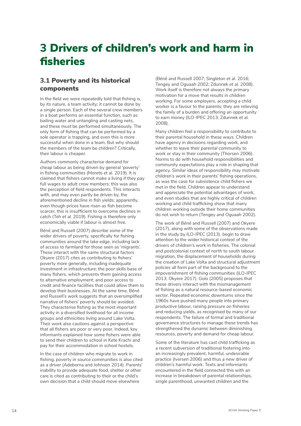# **3** Drivers of children's work and harm in fisheries

### **3.1** Poverty and its historical components

In the field we were repeatedly told that fishing is, by its nature, a team activity; it cannot be done by a single person. Each of the several crew members in a boat performs an essential function, such as bailing water and untangling and casting nets, and these must be performed simultaneously. The only form of fishing that can be performed by a sole operator is trapping, and even this is more successful when done in a team. But why should the members of the team be children? Critically, their labour is cheaper.

Authors commonly characterise demand for cheap labour as being driven by general 'poverty' in fishing communities (Moreto *et al*. 2019). It is claimed that fishers cannot make a living if they pay full wages to adult crew members; this was also the perception of field respondents. This interacts with, and may even partly be driven by, the aforementioned decline in fish yields; apparently, even though prices have risen as fish become scarcer, this is insufficient to overcome declines in catch (Teh *et al.* 2019). Fishing is therefore only economically viable if labour is almost free.

Béné and Russell (2007) describe some of the wider drivers of poverty, specifically for fishing communities around the lake edge, including lack of access to farmland for those seen as 'migrants'. These interact with the same structural factors Okyere (2017) cites as contributing to fishers' poverty more generally, including inadequate investment in infrastructure; the poor skills base of many fishers, which prevents them gaining access to alternative employment; and poor access to credit and finance facilities that could allow them to develop their businesses. At the same time, Béné and Russell's work suggests that an oversimplified narrative of fishers' poverty should be avoided. They characterise fishing as the most important activity in a diversified livelihood for all income groups and ethnicities living around Lake Volta. Their work also cautions against a perspective that all fishers are poor or very poor. Indeed, key informants explained how some fishers were able to send their children to school in Kete Krachi and pay for their accommodation in school hostels.

In the case of children who migrate to work in fishing, poverty in source communities is also cited as a driver (Adeborna and Johnson 2014). Parents' inability to provide adequate food, shelter or other care is cited as contributing to their or the child's own decision that a child should move elsewhere

(Béné and Russell 2007; Singleton *et al.* 2016; Tengey and Oguaah 2002; Zdunnek *et al.* 2008). Work itself is therefore not always the primary motivation for a move that results in children working. For some employers, accepting a child worker is a favour to the parents; they are relieving the family of a burden and offering an opportunity to earn money (ILO-IPEC 2013; Zdunnek *et al.* 2008).

Many children feel a responsibility to contribute to their parental household in these ways. Children have agency in decisions regarding work, and whether to leave their parental community to work or stay in their community (Thorsen 2006). Norms to do with household responsibilities and community expectations play a role in shaping that agency. Similar ideas of responsibility may motivate children's work in their parents' fishing operations, as was the case for subsistence child fishers we met in the field. Children appear to understand and appreciate the potential advantages of work, and even studies that are highly critical of children working and child trafficking show that many children working outside their home communities do not wish to return (Tengey and Oguaah 2002).

The work of Béné and Russell (2007) and Okyere (2017), along with some of the observations made in the study by ILO-IPEC (2013), begin to draw attention to the wider historical context of the drivers of children's work in fisheries. The colonial and postcolonial context of north to south labour migration, the displacement of households during the creation of Lake Volta and structural adjustment policies all form part of the background to the impoverishment of fishing communities (ILO-IPEC 2013; Okyere 2017). Golo (2005) proposes that these drivers interact with the mismanagement of fishing as a natural resource-based economic sector. Repeated economic downturns since the 1960s have pushed many people into primary productive labour, raising pressure on fisheries and reducing yields, as recognised by many of our respondents. The failure of formal and traditional governance structures to manage these trends has strengthened the dynamic between diminishing resources, poverty and demand for cheap labour.

Some of the literature has cast child trafficking as a recent subversion of traditional fostering into an increasingly prevalent, harmful, undesirable practice (Iversen 2006) and thus a new driver of children's harmful work. Texts and informants encountered in the field connected this with an increase in breakdown of parental relationships, single parenthood, unwanted children and the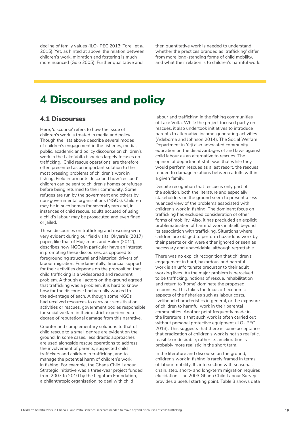decline of family values (ILO-IPEC 2013; Torell *et al.* 2015). Yet, as hinted at above, the relation between children's work, migration and fostering is much more nuanced (Golo 2005). Further qualitative and

then quantitative work is needed to understand whether the practices branded as 'trafficking' differ from more long-standing forms of child mobility, and what their relation is to children's harmful work.

# **4** Discourses and policy

#### **4.1** Discourses

Here, 'discourse' refers to how the issue of children's work is treated in media and policy. Though the lists above describe several modes of children's engagement in the fisheries, media, public, academic and policy discourse on children's work in the Lake Volta fisheries largely focuses on trafficking. 'Child rescue operations' are therefore often presented as an important solution to the most pressing problems of children's work in fishing. Field informants described how 'rescued' children can be sent to children's homes or refuges before being returned to their community. Some refuges are run by the government and others by non-governmental organisations (NGOs). Children may be in such homes for several years and, in instances of child rescue, adults accused of using a child's labour may be prosecuted and even fined or jailed.

These discourses on trafficking and rescuing were very evident during our field visits. Okyere's (2017) paper, like that of Huijsmans and Baker (2012), describes how NGOs in particular have an interest in promoting these discourses, as opposed to foregrounding structural and historical drivers of labour migration. Fundamentally, financial support for their activities depends on the proposition that child trafficking is a widespread and recurrent problem. Although all actors on the ground agreed that trafficking was a problem, it is hard to know how far the discourse had actually worked to the advantage of each. Although some NGOs had received resources to carry out sensitisation activities or rescues, government bodies responsible for social welfare in their district experienced a degree of reputational damage from this narrative.

Counter and complementary solutions to that of child rescue to a small degree are evident on the ground. In some cases, less drastic approaches are used alongside rescue operations to address the involvement of parents, suspected child traffickers and children in trafficking, and to manage the potential harm of children's work in fishing. For example, the Ghana Child Labour Strategic Initiative was a three-year project funded from 2007 to 2010 by the Legatum Foundation, a philanthropic organisation, to deal with child

labour and trafficking in the fishing communities of Lake Volta. While the project focused partly on rescues, it also undertook initiatives to introduce parents to alternative income-generating activities (Adeborna and Johnson 2014). The Social Welfare Department in Yeji also advocated community education on the disadvantages of and laws against child labour as an alternative to rescues. The opinion of department staff was that while they would perform rescues as a last resort, the rescues tended to damage relations between adults within a given family.

Despite recognition that rescue is only part of the solution, both the literature and especially stakeholders on the ground seem to present a less nuanced view of the problems associated with children's work in fishing. The dominant focus on trafficking has excluded consideration of other forms of mobility. Also, it has precluded an explicit problematisation of harmful work in itself, beyond its association with trafficking. Situations where children are obliged to perform hazardous work by their parents or kin were either ignored or seen as necessary and unavoidable, although regrettable.

There was no explicit recognition that children's engagement in hard, hazardous and harmful work is an unfortunate precursor to their adult working lives. As the major problem is perceived to be trafficking, notions of rescue, rehabilitation and return to 'home' dominate the proposed responses. This takes the focus off economic aspects of the fisheries such as labour costs, livelihood characteristics in general, or the exposure of children to harmful work in their parental communities. Another point frequently made in the literature is that such work is often carried out without personal protective equipment (ILO-IPEC 2013). This suggests that there is some acceptance that eradication of children's work is not so realistic, feasible or desirable; rather its amelioration is probably more realistic in the short term.

In the literature and discourse on the ground, children's work in fishing is rarely framed in terms of labour mobility. Its intersection with seasonal, chain, step, short- and long-term migration requires elucidation. The 2003 Ghana Child Labour Survey provides a useful starting point. Table 3 shows data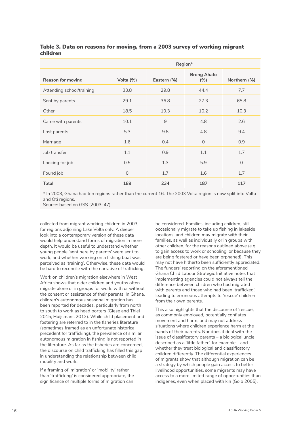#### Table 3. Data on reasons for moving, from a 2003 survey of working migrant children

|                           | Region*        |             |                           |               |
|---------------------------|----------------|-------------|---------------------------|---------------|
| Reason for moving         | Volta (%)      | Eastern (%) | <b>Brong Ahafo</b><br>(%) | Northern (%)  |
| Attending school/training | 33.8           | 29.8        | 44.4                      | 7.7           |
| Sent by parents           | 29.1           | 36.8        | 27.3                      | 65.8          |
| Other                     | 18.5           | 10.3        | 10.2                      | 10.3          |
| Came with parents         | 10.1           | 9           | 4.8                       | 2.6           |
| Lost parents              | 5.3            | 9.8         | 4.8                       | 9.4           |
| Marriage                  | 1.6            | 0.4         | $\overline{0}$            | 0.9           |
| Job transfer              | 1.1            | 0.9         | 1.1                       | 1.7           |
| Looking for job           | 0.5            | 1.3         | 5.9                       | $\mathcal{O}$ |
| Found job                 | $\overline{0}$ | 1.7         | 1.6                       | 1.7           |
| <b>Total</b>              | 189            | 234         | 187                       | 117           |

\* In 2003, Ghana had ten regions rather than the current 16. The 2003 Volta region is now split into Volta and Oti regions.

Source: based on GSS (2003: 47)

collected from migrant working children in 2003, for regions adjoining Lake Volta only. A deeper look into a contemporary version of these data would help understand forms of migration in more depth. It would be useful to understand whether young people 'sent here by parents' were sent to work, and whether working on a fishing boat was perceived as 'training'. Otherwise, these data would be hard to reconcile with the narrative of trafficking.

Work on children's migration elsewhere in West Africa shows that older children and youths often migrate alone or in groups for work, with or without the consent or assistance of their parents. In Ghana, children's autonomous seasonal migration has been reported for decades, particularly from north to south to work as head porters (Giese and Thiel 2015; Huijsmans 2012). While child placement and fostering are referred to in the fisheries literature (sometimes framed as an unfortunate historical precedent for trafficking), the prevalence of similar autonomous migration in fishing is not reported in the literature. As far as the fisheries are concerned, the discourse on child trafficking has filled this gap in understanding the relationship between child mobility and work.

If a framing of 'migration' or 'mobility' rather than 'trafficking' is considered appropriate, the significance of multiple forms of migration can

be considered. Families, including children, still occasionally migrate to take up fishing in lakeside locations, and children may migrate with their families, as well as individually or in groups with other children, for the reasons outlined above (e.g. to gain access to work or schooling, or because they are being fostered or have been orphaned). This may not have hitherto been sufficiently appreciated. The funders' reporting on the aforementioned Ghana Child Labour Strategic Initiative notes that implementing agencies could not always tell the difference between children who had migrated with parents and those who had been 'trafficked', leading to erroneous attempts to 'rescue' children from their own parents.

This also highlights that the discourse of 'rescue', as commonly employed, potentially conflates movement and harm, and may not address situations where children experience harm at the hands of their parents. Nor does it deal with the issue of classificatory parents – a biological uncle described as a 'little father', for example – and whether they treat biological and classificatory children differently. The differential experiences of migrants show that although migration can be a strategy by which people gain access to better livelihood opportunities, some migrants may have access to a more limited range of opportunities than indigenes, even when placed with kin (Golo 2005).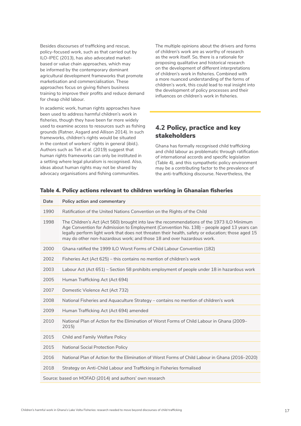Besides discourses of trafficking and rescue, policy-focused work, such as that carried out by ILO-IPEC (2013), has also advocated marketbased or value chain approaches, which may be informed by the contemporary dominant agricultural development frameworks that promote marketisation and commercialisation. These approaches focus on giving fishers business training to improve their profits and reduce demand for cheap child labour.

In academic work, human rights approaches have been used to address harmful children's work in fisheries, though they have been far more widely used to examine access to resources such as fishing grounds (Ratner, Asgard and Allison 2014). In such frameworks, children's rights would be situated in the context of workers' rights in general (*ibid*.). Authors such as Teh *et al*. (2019) suggest that human rights frameworks can only be instituted in a setting where legal pluralism is recognised. Also, ideas about human rights may not be shared by advocacy organisations and fishing communities.

The multiple opinions about the drivers and forms of children's work are as worthy of research as the work itself. So, there is a rationale for proposing qualitative and historical research on the development of different interpretations of children's work in fisheries. Combined with a more nuanced understanding of the forms of children's work, this could lead to real insight into the development of policy processes and their influences on children's work in fisheries.

### **4.2** Policy, practice and key stakeholders

Ghana has formally recognised child trafficking and child labour as problematic through ratification of international accords and specific legislation (Table 4), and this sympathetic policy environment may be a contributing factor to the prevalence of the anti-trafficking discourse. Nevertheless, the

| Date                                                    | Policy action and commentary                                                                                                                                                                                                                                                                                                                                            |  |
|---------------------------------------------------------|-------------------------------------------------------------------------------------------------------------------------------------------------------------------------------------------------------------------------------------------------------------------------------------------------------------------------------------------------------------------------|--|
| 1990                                                    | Ratification of the United Nations Convention on the Rights of the Child                                                                                                                                                                                                                                                                                                |  |
| 1998                                                    | The Children's Act (Act 560) brought into law the recommendations of the 1973 ILO Minimum<br>Age Convention for Admission to Employment (Convention No. 138) - people aged 13 years can<br>legally perform light work that does not threaten their health, safety or education; those aged 15<br>may do other non-hazardous work; and those 18 and over hazardous work. |  |
| 2000                                                    | Ghana ratified the 1999 ILO Worst Forms of Child Labour Convention (182)                                                                                                                                                                                                                                                                                                |  |
| 2002                                                    | Fisheries Act (Act 625) – this contains no mention of children's work                                                                                                                                                                                                                                                                                                   |  |
| 2003                                                    | Labour Act (Act 651) – Section 58 prohibits employment of people under 18 in hazardous work                                                                                                                                                                                                                                                                             |  |
| 2005                                                    | Human Trafficking Act (Act 694)                                                                                                                                                                                                                                                                                                                                         |  |
| 2007                                                    | Domestic Violence Act (Act 732)                                                                                                                                                                                                                                                                                                                                         |  |
| 2008                                                    | National Fisheries and Aquaculture Strategy – contains no mention of children's work                                                                                                                                                                                                                                                                                    |  |
| 2009                                                    | Human Trafficking Act (Act 694) amended                                                                                                                                                                                                                                                                                                                                 |  |
| 2010                                                    | National Plan of Action for the Elimination of Worst Forms of Child Labour in Ghana (2009–<br>2015)                                                                                                                                                                                                                                                                     |  |
| 2015                                                    | Child and Family Welfare Policy                                                                                                                                                                                                                                                                                                                                         |  |
| 2015                                                    | National Social Protection Policy                                                                                                                                                                                                                                                                                                                                       |  |
| 2016                                                    | National Plan of Action for the Elimination of Worst Forms of Child Labour in Ghana (2016-2020)                                                                                                                                                                                                                                                                         |  |
| 2018                                                    | Strategy on Anti-Child Labour and Trafficking in Fisheries formalised                                                                                                                                                                                                                                                                                                   |  |
| Source: based on MOFAD (2014) and authors' own research |                                                                                                                                                                                                                                                                                                                                                                         |  |

#### Table 4. Policy actions relevant to children working in Ghanaian fisheries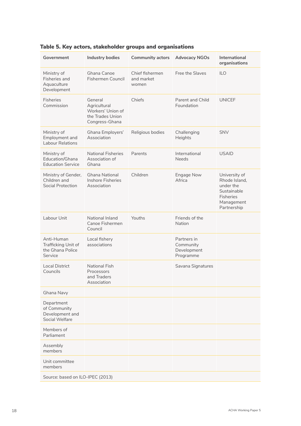| Government                                                       | <b>Industry bodies</b>                                                             | <b>Community actors</b>                | <b>Advocacy NGOs</b>                                 | International<br>organisations                                                                              |
|------------------------------------------------------------------|------------------------------------------------------------------------------------|----------------------------------------|------------------------------------------------------|-------------------------------------------------------------------------------------------------------------|
| Ministry of<br>Fisheries and<br>Aquaculture<br>Development       | Ghana Canoe<br>Fishermen Council                                                   | Chief fishermen<br>and market<br>women | Free the Slaves                                      | <b>ILO</b>                                                                                                  |
| <b>Fisheries</b><br>Commission                                   | General<br>Agricultural<br>Workers' Union of<br>the Trades Union<br>Congress-Ghana | Chiefs                                 | <b>Parent and Child</b><br>Foundation                | <b>UNICEF</b>                                                                                               |
| Ministry of<br>Employment and<br>Labour Relations                | Ghana Employers'<br>Association                                                    | Religious bodies                       | Challenging<br>Heights                               | <b>SNV</b>                                                                                                  |
| Ministry of<br>Education/Ghana<br><b>Education Service</b>       | <b>National Fisheries</b><br>Association of<br>Ghana                               | Parents                                | International<br><b>Needs</b>                        | <b>USAID</b>                                                                                                |
| Ministry of Gender,<br>Children and<br>Social Protection         | <b>Ghana National</b><br><b>Inshore Fisheries</b><br>Association                   | Children                               | <b>Engage Now</b><br>Africa                          | University of<br>Rhode Island,<br>under the<br>Sustainable<br><b>Fisheries</b><br>Management<br>Partnership |
| Labour Unit                                                      | National Inland<br>Canoe Fishermen<br>Council                                      | Youths                                 | Friends of the<br><b>Nation</b>                      |                                                                                                             |
| Anti-Human<br>Trafficking Unit of<br>the Ghana Police<br>Service | Local fishery<br>associations                                                      |                                        | Partners in<br>Community<br>Development<br>Programme |                                                                                                             |
| <b>Local District</b><br>Councils                                | <b>National Fish</b><br>Processors<br>and Traders<br>Association                   |                                        | Savana Signatures                                    |                                                                                                             |
| Ghana Navy                                                       |                                                                                    |                                        |                                                      |                                                                                                             |
| Department<br>of Community<br>Development and<br>Social Welfare  |                                                                                    |                                        |                                                      |                                                                                                             |
| Members of<br>Parliament                                         |                                                                                    |                                        |                                                      |                                                                                                             |
| Assembly<br>members                                              |                                                                                    |                                        |                                                      |                                                                                                             |
| Unit committee<br>members                                        |                                                                                    |                                        |                                                      |                                                                                                             |
| Source: based on ILO-IPEC (2013)                                 |                                                                                    |                                        |                                                      |                                                                                                             |

#### Table 5. Key actors, stakeholder groups and organisations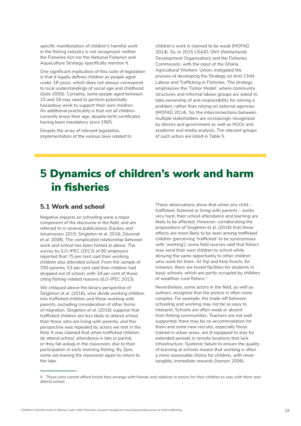specific manifestation of children's harmful work in the fishing industry is not recognised: neither the Fisheries Act nor the National Fisheries and Aquaculture Strategy specifically mention it.

One significant implication of this suite of legislation is that it legally defines children as people aged under 18 years, which does not always correspond to local understandings of social age and childhood (Golo 2005). Certainly, some people aged between 15 and 18 may need to perform potentially hazardous work to support their own children. An additional practicality is that not all children currently know their age, despite birth certificates having been mandatory since 1965.

Despite the array of relevant legislation, implementation of the various laws related to children's work is claimed to be weak (MOFAD 2014). So, in 2015 USAID, SNV (Netherlands Development Organisation) and the Fisheries Commission, with the input of the Ghana Agricultural Workers' Union, instigated the process of developing the Strategy on Anti-Child Labour and Trafficking in Fisheries. The strategy emphasises the 'Torkor Model', where community structures and informal labour groups are asked to take ownership of and responsibility for solving a problem, rather than relying on external agencies (MOFAD 2014). So, the interconnections between multiple stakeholders are increasingly recognised by donors and government as well as NGOs and academic and media analysis. The relevant groups of such actors are listed in Table 5.

# **5** Dynamics of children's work and harm in fisheries

#### **5.1** Work and school

Negative impacts on schooling were a major component of the discourse in the field, and are referred to in several publications (Sackey and Johannesen 2015; Singleton *et al.* 2016; Zdunnek *et al.* 2008). The complicated relationship between work and school has been hinted at above. The survey by ILO-IPEC (2013) of 90 employers reported that 75 per cent said their working children also attended school. From the sample of 350 parents, 53 per cent said their children had dropped out of school, with 34 per cent of those citing fishing-related reasons (ILO-IPEC 2013).

We critiqued above the binary perspective of Singleton *et al*. (2016), who divide working children into trafficked children and those working with parents, excluding consideration of other forms of migration. Singleton *et al*. (2016) suppose that trafficked children are less likely to attend school than those who are living with parents, and this perspective was repeated by actors we met in the field. It was claimed that when trafficked children do attend school, attendance is late or partial, or they fall asleep in the classroom, due to their participation in early morning fishing. By 2pm, some are leaving the classroom again to return to the lake.

These observations show that when any child – trafficked, fostered or living with parents – works very hard, their school attendance and learning are likely to be affected. However, corroborating the propositions of Singleton *et al*. (2016) that these effects are more likely to be seen among trafficked children (perceiving 'trafficked' to be synonymous with 'working'), some field sources said that fishers may send their own children to school while denying the same opportunity to other children who work for them. At Yeji and Kete Krachi, for instance, there are hostel facilities for students in basic schools, which are partly occupied by children of wealthier rural fishers.<sup>4</sup>

Nevertheless, some actors in the field, as well as authors, recognise that the picture is often more complex. For example, the trade-off between schooling and working may not be so easy to interpret. Schools are often weak or absent from fishing communities. Teachers are not well supported; there may be no accommodation for them and some new recruits, especially those trained in urban areas, are ill equipped to stay for extended periods in remote locations that lack infrastructure. Systemic failure to ensure the quality of learning at schools means that working is often a more reasonable choice for children, with more tangible, immediate rewards (Iversen 2006).

<sup>4</sup> Those who cannot afford hostel fees arrange with friends and relatives in towns for their children to stay with them and attend school.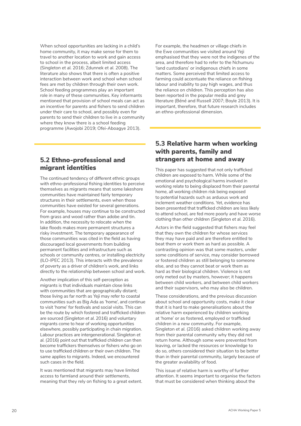When school opportunities are lacking in a child's home community, it may make sense for them to travel to another location to work and gain access to school in the process, albeit limited access (Singleton *et al.* 2016; Zdunnek *et al.* 2008). The literature also shows that there is often a positive interaction between work and school when school fees are met by children through their own work. School feeding programmes play an important role in many of these communities. Key informants mentioned that provision of school meals can act as an incentive for parents and fishers to send children under their care to school, and possibly even for parents to send their children to live in a community where they know there is a school feeding programme (Awojobi 2019; Ofei-Aboagye 2013).

For example, the headmen or village chiefs in the Ewe communities we visited around Yeji emphasised that they were not the indigenes of the area, and therefore had to refer to the Nchumuru 'land custodians' or indigenous chiefs in some matters. Some perceived that limited access to farming could accentuate the reliance on fishing labour and inability to pay high wages, and thus the reliance on children. This perception has also been reported in the popular media and grey literature (Béné and Russell 2007; Boyle 2013). It is important, therefore, that future research includes an ethno-professional dimension.

### **5.2** Ethno-professional and migrant identities

The continued tendency of different ethnic groups with ethno-professional fishing identities to perceive themselves as migrants means that some lakeshore communities have maintained fairly temporary structures in their settlements, even when those communities have existed for several generations. For example, houses may continue to be constructed from grass and wood rather than adobe and tin. In addition, the necessity to relocate when the lake floods makes more permanent structures a risky investment. The temporary appearance of those communities was cited in the field as having discouraged local governments from building permanent facilities and infrastructure such as schools or community centres, or installing electricity (ILO-IPEC 2013). This interacts with the prevalence of poverty as a driver of children's work, and links directly to the relationship between school and work.

Another implication of this self-perception as migrants is that individuals maintain close links with communities that are geographically distant; those living as far north as Yeji may refer to coastal communities such as Big Ada as 'home', and continue to visit 'home' for festivals and social visits. This can be the route by which fostered and trafficked children are sourced (Singleton *et al.* 2016) and voluntary migrants come to hear of working opportunities elsewhere, possibly participating in chain migration. Labour practices are intergenerational. Singleton *et al.* (2016) point out that trafficked children can then become traffickers themselves or fishers who go on to use trafficked children or their own children. The same applies to migrants. Indeed, we encountered such cases in the field.

It was mentioned that migrants may have limited access to farmland around their settlements, meaning that they rely on fishing to a great extent.

### **5.3** Relative harm when working with parents, family and strangers at home and away

This paper has suggested that not only trafficked children are exposed to harm. While some of the emotional and psychological harms involved in working relate to being displaced from their parental home, all working children risk being exposed to potential hazards such as arduous work and inclement weather conditions. Yet, evidence has been presented that trafficked children are less likely to attend school, are fed more poorly and have worse clothing than other children (Singleton *et al.* 2016).

Actors in the field suggested that fishers may feel that they own the children for whose services they may have paid and are therefore entitled to beat them or work them as hard as possible. A contrasting opinion was that some masters, under some conditions of service, may consider borrowed or fostered children as still belonging to someone else, and so they cannot beat or work them as hard as their biological children. Violence is not only meted out by masters, however; it happens between child workers, and between child workers and their supervisors, who may also be children.

These considerations, and the previous discussion about school and opportunity costs, make it clear that it is hard to make generalisations about the relative harm experienced by children working at 'home' or as fostered, employed or trafficked children in a new community. For example, Singleton *et al.* (2016) asked children working away from their parental community why they did not return home. Although some were prevented from leaving, or lacked the resources or knowledge to do so, others considered their situation to be better than in their parental community, largely because of the greater availability of food.

This issue of relative harm is worthy of further attention. It seems important to organise the factors that must be considered when thinking about the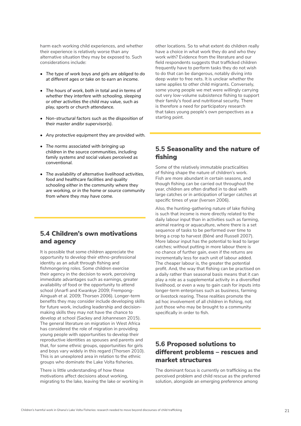harm each working child experiences, and whether their experience is relatively worse than any alternative situation they may be exposed to. Such considerations include:

- *• The type of work boys and girls are obliged to do at different ages or take on to earn an income.*
- *• The hours of work, both in total and in terms of whether they interfere with schooling, sleeping or other activities the child may value, such as play, sports or church attendance.*
- *• Non-structural factors such as the disposition of their master and/or supervisor(s).*
- *• Any protective equipment they are provided with.*
- *• The norms associated with bringing up children in the source communities, including family systems and social values perceived as conventional.*
- *• The availability of alternative livelihood activities, food and healthcare facilities and quality schooling either in the community where they are working, or in the home or source community from where they may have come.*

### **5.4** Children's own motivations and agency

It is possible that some children appreciate the opportunity to develop their ethno-professional identity as an adult through fishing and fishmongering roles. Some children exercise their agency in the decision to work, perceiving immediate advantages such as earnings, greater availability of food or the opportunity to attend school (Anarfi and Kwankye 2009; Frempong-Ainguah *et al.* 2009; Thorsen 2006). Longer-term benefits they may consider include developing skills for future work, including leadership and decisionmaking skills they may not have the chance to develop at school (Sackey and Johannesen 2015). The general literature on migration in West Africa has considered the role of migration in providing young people with opportunities to develop their reproductive identities as spouses and parents and that, for some ethnic groups, opportunities for girls and boys vary widely in this regard (Thorsen 2010). This is an unexplored area in relation to the ethnic groups who dominate the Lake Volta fisheries.

There is little understanding of how these motivations affect decisions about working, migrating to the lake, leaving the lake or working in other locations. So to what extent do children really have a choice in what work they do and who they work with? Evidence from the literature and our field respondents suggests that trafficked children frequently have to perform tasks they do not wish to do that can be dangerous, notably diving into deep water to free nets. It is unclear whether the same applies to other child migrants. Conversely, some young people we met were willingly carrying out very low-volume subsistence fishing to support their family's food and nutritional security. There is therefore a need for participatory research that takes young people's own perspectives as a starting point.

### **5.5** Seasonality and the nature of fishing

Some of the relatively immutable practicalities of fishing shape the nature of children's work. Fish are more abundant in certain seasons, and though fishing can be carried out throughout the year, children are often drafted in to deal with large catches or in anticipation of larger catches at specific times of year (Iversen 2006).

Also, the hunting-gathering nature of lake fishing is such that income is more directly related to the daily labour input than in activities such as farming, animal rearing or aquaculture, where there is a set sequence of tasks to be performed over time to bring a crop to harvest (Béné and Russell 2007). More labour input has the potential to lead to larger catches; without putting in more labour there is no chance of further gain, even if the returns are incrementally less for each unit of labour added. The cheaper labour is, the greater the potential profit. And, the way that fishing can be practised on a daily rather than seasonal basis means that it can play a role as a supplemental activity in a diversified livelihood, or even a way to gain cash for inputs into longer-term enterprises such as business, farming or livestock rearing. These realities promote the ad hoc involvement of all children in fishing, not just those who may be brought to a community specifically in order to fish.

### **5.6** Proposed solutions to different problems – rescues and market structures

The dominant focus is currently on trafficking as the perceived problem and child rescue as the preferred solution, alongside an emerging preference among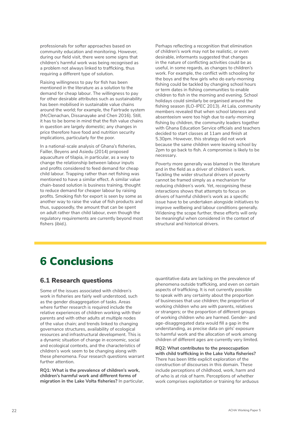professionals for softer approaches based on community education and monitoring. However, during our field visit, there were some signs that children's harmful work was being recognised as a problem not always linked to trafficking, thus requiring a different type of solution.

Raising willingness to pay for fish has been mentioned in the literature as a solution to the demand for cheap labour. The willingness to pay for other desirable attributes such as sustainability has been mobilised in sustainable value chains around the world; for example, the Fairtrade system (McClenachan, Dissanayake and Chen 2016). Still, it has to be borne in mind that the fish value chains in question are largely domestic; any changes in price therefore have food and nutrition security implications, particularly for the poor.

In a national-scale analysis of Ghana's fisheries, Failler, Beyens and Asiedu (2014) proposed aquaculture of tilapia, in particular, as a way to change the relationship between labour inputs and profits considered to feed demand for cheap child labour. Trapping rather than net fishing was mentioned to have a similar effect. A similar value chain-based solution is business training, thought to reduce demand for cheaper labour by raising profits. Smoking fish for export is seen by some as another way to raise the value of fish products and thus, supposedly, the amount that can be spent on adult rather than child labour, even though the regulatory requirements are currently beyond most fishers (*ibid*.).

Perhaps reflecting a recognition that elimination of children's work may not be realistic, or even desirable, informants suggested that changes in the nature of conflicting activities could be as useful, in some regards, as changes to children's work. For example, the conflict with schooling for the boys and the few girls who do early-morning fishing could be tackled by changing school hours or term dates in fishing communities to enable children to fish in the morning and evening. School holidays could similarly be organised around the fishing season (ILO-IPEC 2013). At Lala, community members revealed that when school lateness and absenteeism were too high due to early-morning fishing by children, the community leaders together with Ghana Education Service officials and teachers decided to start classes at 11am and finish at 5.30pm. However, this strategy did not work because the same children were leaving school by 2pm to go back to fish. A compromise is likely to be necessary.

Poverty more generally was blamed in the literature and in the field as a driver of children's work. Tackling the wider structural drivers of poverty cannot be framed simply as a mechanism for reducing children's work. Yet, recognising these interactions shows that attempts to focus on drivers of harmful children's work as a specific issue have to be undertaken alongside initiatives to improve wellbeing and labour conditions generally. Widening the scope further, these efforts will only be meaningful when considered in the context of structural and historical drivers.

# **6** Conclusions

#### **6.1** Research questions

Some of the issues associated with children's work in fisheries are fairly well understood, such as the gender disaggregation of tasks. Areas where further research is required include the relative experiences of children working with their parents and with other adults at multiple nodes of the value chain; and trends linked to changing governance structures, availability of ecological resources and infrastructural development. This is a dynamic situation of change in economic, social and ecological contexts, and the characteristics of children's work seem to be changing along with these phenomena. Four research questions warrant further attention.

**RQ1: What is the prevalence of children's work, children's harmful work and different forms of migration in the Lake Volta fisheries?** In particular,

quantitative data are lacking on the prevalence of phenomena outside trafficking, and even on certain aspects of trafficking. It is not currently possible to speak with any certainty about the proportion of businesses that use children; the proportion of working children who are with parents, relatives or strangers; or the proportion of different groups of working children who are harmed. Gender- and age-disaggregated data would fill a gap in the understanding, as precise data on girls' exposure to harmful work and the allocation of work among children of different ages are currently very limited.

**RQ2: What contributes to the preoccupation with child trafficking in the Lake Volta fisheries?**  There has been little explicit exploration of the construction of discourses in this domain. These include perceptions of childhood, work, harm and of who is at risk of harm. Perceptions of whether work comprises exploitation or training for arduous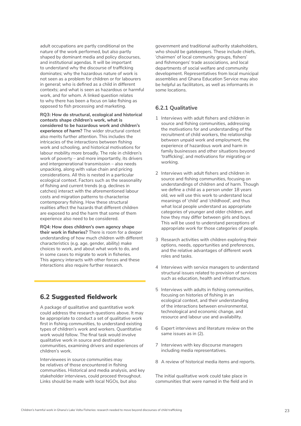adult occupations are partly conditional on the nature of the work performed, but also partly shaped by dominant media and policy discourses, and institutional agendas. It will be important to understand why the discourse of trafficking dominates; why the hazardous nature of work is not seen as a problem for children or for labourers in general; who is defined as a child in different contexts; and what is seen as hazardous or harmful work, and for whom. A linked question relates to why there has been a focus on lake fishing as opposed to fish processing and marketing.

**RQ3: How do structural, ecological and historical contexts shape children's work, what is considered to be hazardous work and children's experience of harm?** The wider structural context also merits further attention. This includes the intricacies of the interactions between fishing work and schooling, and historical motivations for labour mobility more broadly. The role in children's work of poverty – and more importantly, its drivers and intergenerational transmission – also needs unpacking, along with value chain and pricing considerations. All this is nested in a particular ecological context. Factors such as the seasonality of fishing and current trends (e.g. declines in catches) interact with the aforementioned labour costs and migration patterns to characterise contemporary fishing. How these structural realities affect the hazards that different children are exposed to and the harm that some of them experience also need to be considered.

**RQ4: How does children's own agency shape their work in fisheries?** There is room for a deeper understanding of how much children with different characteristics (e.g. age, gender, ability) make choices to work, and about what work to do, and in some cases to migrate to work in fisheries. This agency interacts with other forces and these interactions also require further research.

### **6.2** Suggested fieldwork

A package of qualitative and quantitative work could address the research questions above. It may be appropriate to conduct a set of qualitative work first in fishing communities, to understand existing types of children's work and workers. Quantitative work would follow. The final task would involve qualitative work in source and destination communities, examining drivers and experiences of children's work.

Interviewees in source communities may be relatives of those encountered in fishing communities. Historical and media analysis, and key stakeholder interviews, could proceed throughout. Links should be made with local NGOs, but also

government and traditional authority stakeholders, who should be gatekeepers. These include chiefs, 'chairmen' of local community groups, fishers' and fishmongers' trade associations, and local departments of social welfare and community development. Representatives from local municipal assemblies and Ghana Education Service may also be helpful as facilitators, as well as informants in some locations.

#### **6.2.1 Qualitative**

- 1 Interviews with adult fishers and children in source and fishing communities, addressing the motivations for and understanding of the recruitment of child workers, the relationship between unpaid work and employment, the experience of hazardous work and harm in family businesses and other situations beyond 'trafficking', and motivations for migrating or working.
- 2 Interviews with adult fishers and children in source and fishing communities, focusing on understandings of children and of harm. Though we define a child as a person under 18 years old, we will use this work to understand local meanings of 'child' and 'childhood', and thus what local people understand as appropriate categories of younger and older children, and how they may differ between girls and boys. This will be used to understand perceptions of appropriate work for those categories of people.
- 3 Research activities with children exploring their options, needs, opportunities and preferences, and the relative advantages of different work roles and tasks.
- 4 Interviews with service managers to understand structural issues related to provision of services such as education, health and infrastructure.
- 5 Interviews with adults in fishing communities, focusing on histories of fishing in an ecological context, and their understanding of the interactions between environmental, technological and economic change, and resource and labour use and availability.
- 6 Expert interviews and literature review on the same issues as in (2).
- 7 Interviews with key discourse managers including media representatives.
- 8 A review of historical media items and reports.

The initial qualitative work could take place in communities that were named in the field and in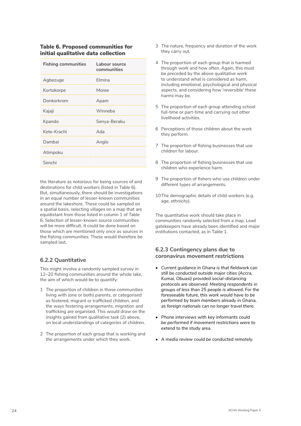| <b>Table 6. Proposed communities for</b> |
|------------------------------------------|
| initial qualitative data collection      |

| <b>Fishing communities</b> | Labour source<br>communities |
|----------------------------|------------------------------|
| Agbezuge                   | <b>Flmina</b>                |
| Kortokorpe                 | Moree                        |
| Donkorkrom                 | Apam                         |
| Kajaji                     | Winneba                      |
| Kpando                     | Senya-Beraku                 |
| Kete-Krachi                | Ada                          |
| Dambai                     | Anglo                        |
| Atimpoku                   |                              |
| Senchi                     |                              |

the literature as notorious for being sources of and destinations for child workers (listed in Table 6). But, simultaneously, there should be investigations in an equal number of lesser-known communities around the lakeshore. These could be sampled on a spatial basis, selecting villages on a map that are equidistant from those listed in column 1 of Table 6. Selection of lesser-known source communities will be more difficult. It could be done based on those which are mentioned only once as sources in the fishing communities. These would therefore be sampled last.

#### **6.2.2 Quantitative**

This might involve a randomly sampled survey in 12–20 fishing communities around the whole lake, the aim of which would be to quantify:

- 1 The proportion of children in those communities living with (one or both) parents, or categorised as fostered, migrant or trafficked children, and the ways fostering arrangements, migration and trafficking are organised. This would draw on the insights gained from qualitative task (2) above, on local understandings of categories of children.
- 2 The proportion of each group that is working and the arrangements under which they work.
- 3 The nature, frequency and duration of the work they carry out.
- 4 The proportion of each group that is harmed through work and how often. Again, this must be preceded by the above qualitative work to understand what is considered as harm, including emotional, psychological and physical aspects, and considering how 'reversible' these harms may be.
- 5 The proportion of each group attending school full-time or part-time and carrying out other livelihood activities.
- 6 Perceptions of those children about the work they perform.
- 7 The proportion of fishing businesses that use children for labour.
- 8 The proportion of fishing businesses that use children who experience harm.
- 9 The proportion of fishers who use children under different types of arrangements.
- 10The demographic details of child workers (e.g. age, ethnicity).

The quantitative work should take place in communities randomly selected from a map. Lead gatekeepers have already been identified and major institutions contacted, as in Table 1.

#### **6.2.3 Contingency plans due to coronavirus movement restrictions**

- *• Current guidance in Ghana is that fieldwork can still be conducted outside major cities (Accra, Kumai, Obuasi) provided social-distancing protocols are observed. Meeting respondents in groups of less than 25 people is allowed. For the foreseeable future, this work would have to be performed by team members already in Ghana, as foreign nationals can no longer travel there.*
- *• Phone interviews with key informants could be performed if movement restrictions were to extend to the study area.*
- *• A media review could be conducted remotely.*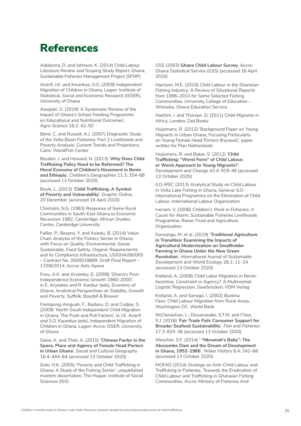### References

Adeborna, D. and Johnson, K. (2014) *Child Labour Literature Review and Scoping Study Report: Ghana*, Sustainable Fisheries Management Project (SFMP)

Anarfi, J.K. and Kwankye, S.O. (2009) *Independent Migration of Children in Ghana*, Legon: Institute of Statistical, Social and Economic Research (ISSER), University of Ghana

Awojobi, O. (2019) 'A Systematic Review of the Impact of Ghana's School Feeding Programme on Educational and Nutritional Outcomes', *Agro-Science* 18.2: 42–50

Béné, C. and Russell, A.J. (2007) *Diagnostic Study of the Volta Basin Fisheries: Part 2 Livelihoods and Poverty Analysis, Current Trends and Projections*, Cairo: WorldFish Center

Boyden, J. and Howard, N. (2013) '**[Why Does Child](http://doi.org/10.1080/14733285.2013.817661)  [Trafficking Policy Need to be Reformed? The](http://doi.org/10.1080/14733285.2013.817661)  [Moral Economy of Children's Movement in Benin](http://doi.org/10.1080/14733285.2013.817661)  [and Ethiopia](http://doi.org/10.1080/14733285.2013.817661)**', Children's Geographies 11.3: 354–68 (accessed 13 October 2020)

Boyle, L. (2013) '**[Child Trafficking: A Symbol](https://www.graphic.com.gh/features/opinion/child-trafficking-a-symbol-of-poverty-and-vulnerability.html)  [of Poverty and Vulnerability](https://www.graphic.com.gh/features/opinion/child-trafficking-a-symbol-of-poverty-and-vulnerability.html)**', *Graphic Online*, 20 December (accessed 16 April 2020)

Chisholm, N.G. (1983) *Response of Some Rural Communities in South-East Ghana to Economic Recession 1982*, Cambridge: African Studies Centre, Cambridge University

Failler, P.; Beyens, Y. and Asiedu, B. (2014) *Value Chain Analysis of the Fishery Sector in Ghana, with Focus on Quality, Environmental, Social, Sustainable, Food Safety, Organic Requirements and its Compliance Infrastructure, US/GHA/06/005 – Contract No. 3000018889. Draft Final Report – 17/06/2014*, Accra: Aets Apave

Fosu, A.K. and Aryeetey, E. (2008) 'Ghana's Post-Independence Economic Growth 1960–2000', in E. Aryeetey and R. Kanbur (eds), *Economy of Ghana: Analytical Perspectives on Stability, Growth and Poverty*, Suffolk: Boydell & Brewer

Frempong-Ainguah, F.; Badasu, D. and Codjoe, S. (2009) 'North-South Independent Child Migration in Ghana: The Push and Pull Factors', in J.K. Anarfi and S.O. Kwankye (eds), *Independent Migration of Children in Ghana*, Lagon-Accra: ISSER, University of Ghana

Giese, K. and Thiel, A. (2015) '**[Chinese Factor in the](http://doi.org/10.1080/14649365.2014.998266)  [Space, Place and Agency of Female Head Porters](http://doi.org/10.1080/14649365.2014.998266)  [in Urban Ghana](http://doi.org/10.1080/14649365.2014.998266)**', *Social and Cultural Geography* 16.4: 444–64 (accessed 13 October 2020)

Golo, H.K. (2005) 'Poverty and Child Trafficking in Ghana: A Study of the Fishing Sector', unpublished masters dissertation, The Hague: Institute of Social Sciences (ISS)

GSS (2003) **[Ghana Child Labour Survey](https://cocoainitiative.org/knowledge-centre-post/ghana-child-labour-survey/)**, Accra: Ghana Statistical Service (GSS) (accessed 16 April 2020)

Harrison, M.E. (2010) *Child Labour in the Ghanaian Fishing Industry; A Review of Situational Reports from 1996–2010 for Some Selected Fishing Communities*, University College of Education – Winneba, Ghana Education Service

Hashim, I. and Thorsen, D. (2011) *Child Migrants in Africa*, London: Zed Books

Huijsmans, R. (2012) 'Background Paper on Young Migrants in Urban Ghana, Focusing Particularly on Young Female Head Porters (Kayayei)', paper written for Plan Netherlands

Huijsmans, R. and Baker, S. (2012) '**[Child](http://doi.org/10.1111/j.1467-7660.2012.01786.x)  [Trafficking: "Worst Form" of Child Labour,](http://doi.org/10.1111/j.1467-7660.2012.01786.x)  [or Worst Approach to Young Migrants?](http://doi.org/10.1111/j.1467-7660.2012.01786.x)**', *Development and Change* 43.4: 919–46 (accessed 13 October 2020)

ILO-IPEC (2013) *Analytical Study on Child Labour in Volta Lake Fishing in Ghana*, Geneva: ILO-International Programme on the Elimination of Child Labour, International Labour Organization

Iversen, V. (2006) *Children's Work in Fisheries: A Cause for Alarm*, Sustainable Fisheries Livelihoods Programme, Rome: Food and Agriculture Organization

Kansanga, M. *et al.* (2019) '**[Traditional Agriculture](http://doi.org/10.1080/13504509.2018.1491429)  [in Transition: Examining the Impacts of](http://doi.org/10.1080/13504509.2018.1491429)  [Agricultural Modernization on Smallholder](http://doi.org/10.1080/13504509.2018.1491429)  [Farming in Ghana Under the New Green](http://doi.org/10.1080/13504509.2018.1491429)  [Revolution](http://doi.org/10.1080/13504509.2018.1491429)**', *International Journal of Sustainable Development and World Ecology* 26.1: 11–24 (accessed 13 October 2020)

Kielland, A. (2008) *Child Labor Migration in Benin: Incentive, Constraint or Agency?: A Multinomial Logistic Regression*, Saarbrücken: VDM Verlag

Kielland, A. and Sanogo, I. (2002) *Burkina Faso: Child Labour Migration from Rural Areas*, Washington DC: World Bank

McClenachan, L.; Dissanayake, S.T.M. and Chen, X.J. (2016) '**[Fair Trade Fish: Consumer Support for](http://doi.org/10.1111/faf.12148)  [Broader Seafood Sustainability](http://doi.org/10.1111/faf.12148)**', *Fish and Fisheries* 17.3: 825–38 (accessed 13 October 2020)

Miescher, S.F. (2014) **[' "Nkrumah's Baby": The](http://doi.org/10.1007/s12685-014-0112-8)  [Akosombo Dam and the Dream of Development](http://doi.org/10.1007/s12685-014-0112-8)  [in Ghana, 1952–1966](http://doi.org/10.1007/s12685-014-0112-8)**', *Water History* 6.4: 341–66 (accessed 13 October 2020)

MOFAD (2014) *Strategy on Anti-Child Labour and Trafficking in Fisheries. Towards the Eradication of Child Labour and Trafficking in Ghanaian Fishing Communities*, Accra: Ministry of Fisheries And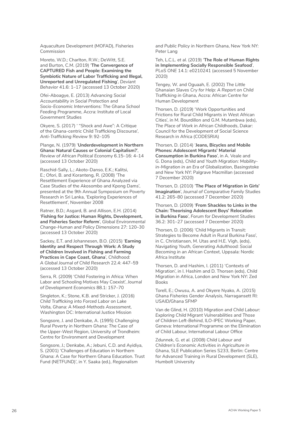Aquaculture Development (MOFAD), Fisheries Commission

Moreto, W.D.; Charlton, R.W.; DeWitt, S.E. and Burton, C.M. (2019) '**[The Convergence of](http://doi.org/10.1080/01639625.2019.1594587)  [CAPTURED Fish and People: Examining the](http://doi.org/10.1080/01639625.2019.1594587)  [Symbiotic Nature of Labor Trafficking and Illegal,](http://doi.org/10.1080/01639625.2019.1594587)  [Unreported and Unregulated Fishing](http://doi.org/10.1080/01639625.2019.1594587)**', *Deviant Behavior* 41.6: 1–17 (accessed 13 October 2020)

Ofei-Aboagye, E. (2013) *Advancing Social Accountability in Social Protection and Socio-Economic Interventions: The Ghana School Feeding Programme*, Accra: Institute of Local Government Studies

Okyere, S. (2017) ' "Shock and Awe": A Critique of the Ghana-centric Child Trafficking Discourse', *Anti‑Trafficking Review* 9: 92–105

Plange, N. (1979) '**[Underdevelopment in Northern](http://doi.org/10.1080/03056247908703393)  [Ghana: Natural Causes or Colonial Capitalism?](http://doi.org/10.1080/03056247908703393)**', *Review of African Political Economy* 6.15–16: 4–14 (accessed 13 October 2020)

Raschid-Sally, L.; Akoto-Danso, E.K.; Kalitsi, E.; Ofori, B. and Koranteng, R. (2008) 'The Resettlement Experience of Ghana Analyzed via Case Studies of the Akosombo and Kpong Dams', presented at the 9th Annual Symposium on Poverty Research in Sri Lanka, 'Exploring Experiences of Resettlement', November 2008

Ratner, B.D.; Asgard, B. and Allison, E.H. (2014) '**[Fishing for Justice: Human Rights, Development,](http://doi.org/10.1016/j.gloenvcha.2014.05.006)  [and Fisheries Sector Reform](http://doi.org/10.1016/j.gloenvcha.2014.05.006)**', *Global Environmental Change-Human and Policy Dimensions* 27: 120–30 (accessed 13 October 2020)

Sackey, E.T. and Johannesen, B.O. (2015) '**[Earning](http://doi.org/10.1177/0907568214566079)  [Identity and Respect Through Work: A Study](http://doi.org/10.1177/0907568214566079)  [of Children Involved in Fishing and Farming](http://doi.org/10.1177/0907568214566079)  [Practices in Cape Coast, Ghana](http://doi.org/10.1177/0907568214566079)**', *Childhood: A Global Journal of Child Research* 22.4: 447–59 (accessed 13 October 2020)

Serra, R. (2009) 'Child Fostering in Africa: When Labor and Schooling Motives May Coexist', *Journal of Development Economics* 88.1: 157–70

Singleton, K.; Stone, K.B. and Stricker, J. (2016) *Child Trafficking into Forced Labor on Lake Volta, Ghana: A Mixed-Methods Assessment*, Washington DC: International Justice Mission

Songsore, J. and Denkabe, A. (1995) *Challenging Rural Poverty in Northern Ghana: The Case of the Upper-West Region*, University of Trondheim: Centre for Environment and Development

Songsore, J.; Denkabe, A.; Jebuni, C.D. and Ayidiya, S. (2001) 'Challenges of Education in Northern Ghana: A Case for Northern Ghana Education. Trust Fund (NETFUND)', in Y. Saaka (ed.), *Regionalism* 

*and Public Policy in Northern Ghana*, New York NY: Peter Lang

Teh, L.C.L. *et al.* (2019) '**[The Role of Human Rights](https://doi.org/10.1371/journal.pone.0210241)  [in Implementing Socially Responsible Seafood](https://doi.org/10.1371/journal.pone.0210241)**', *PLoS ONE* 14.1: e0210241 (accessed 5 November 2020)

Tengey, W. and Oguaah, E. (2002) *The Little Ghanaian Slaves Cry for Help: A Report on Child Trafficking in Ghana*, Accra: African Centre for Human Development

Thorsen, D. (2019) 'Work Opportunities and Frictions for Rural Child Migrants in West African Cities', in M. Bourdillon and G.M. Mutambwa (eds), *The Place of Work in African Childhoods*, Dakar: Council for the Development of Social Science Research in Africa (CODESRIA)

Thorsen, D. (2014) '**[Jeans, Bicycles and Mobile](http://doi.org/10.1057/9781137280671)  [Phones: Adolescent Migrants' Material](http://doi.org/10.1057/9781137280671)  [Consumption in Burkina Faso](http://doi.org/10.1057/9781137280671)**', in A. Veale and G. Dona (eds), *Child and Youth Migration: Mobilityin-Migration in an Era of Globalization*, Basingstoke and New York NY: Palgrave Macmillan (accessed 7 December 2020)

Thorsen, D. (2010) '**[The Place of Migration in Girls'](https://utpjournals.press/doi/10.3138/jcfs.41.2.265)  [Imagination](https://utpjournals.press/doi/10.3138/jcfs.41.2.265)**', *Journal of Comparative Family Studies* 41.2: 265–80 (accessed 7 December 2020)

Thorsen, D. (2009) '**[From Shackles to Links in the](http://doi.org/10.1080/08039410.2009.9666439)  [Chain: Theorising Adolescent Boys' Relocation](http://doi.org/10.1080/08039410.2009.9666439)  [in Burkina Faso](http://doi.org/10.1080/08039410.2009.9666439)**', *Forum for Development Studies* 36.2: 301–27 (accessed 7 December 2020)

Thorsen, D. (2006) 'Child Migrants in Transit: Strategies to Become Adult in Rural Burkina Faso', in C. Christiansen, M. Utas and H.E. Vigh, (eds), *Navigating Youth, Generating Adulthood: Social Becoming in an African Context*, Uppsala: Nordic Africa Institute

Thorsen, D. and Hashim, I. (2011) 'Contexts of Migration', in I. Hashim and D. Thorsen (eds), *Child Migration in Africa*, London and New York NY: Zed Books

Torell, E.; Owusu, A. and Okyere Nyako, A. (2015) *Ghana Fisheries Gender Analysis*, Narragansett RI: USAID/Ghana SFMP

Van de Glind, H. (2010) *Migration and Child Labour: Exploring Child Migrant Vulnerabilities and Those of Children Left-Behind*, ILO-IPEC Working Paper, Geneva: International Programme on the Elimination of Child Labour, International Labour Office

Zdunnek, G. *et al.* (2008) *Child Labour and Children's Economic Activities in Agriculture in Ghana*, SLE Publication Series S233, Berlin: Centre for Advanced Training in Rural Development (SLE), Humbolt University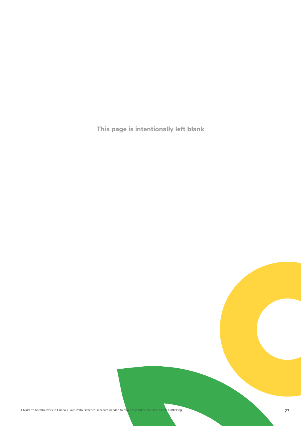**This page is intentionally left blank**